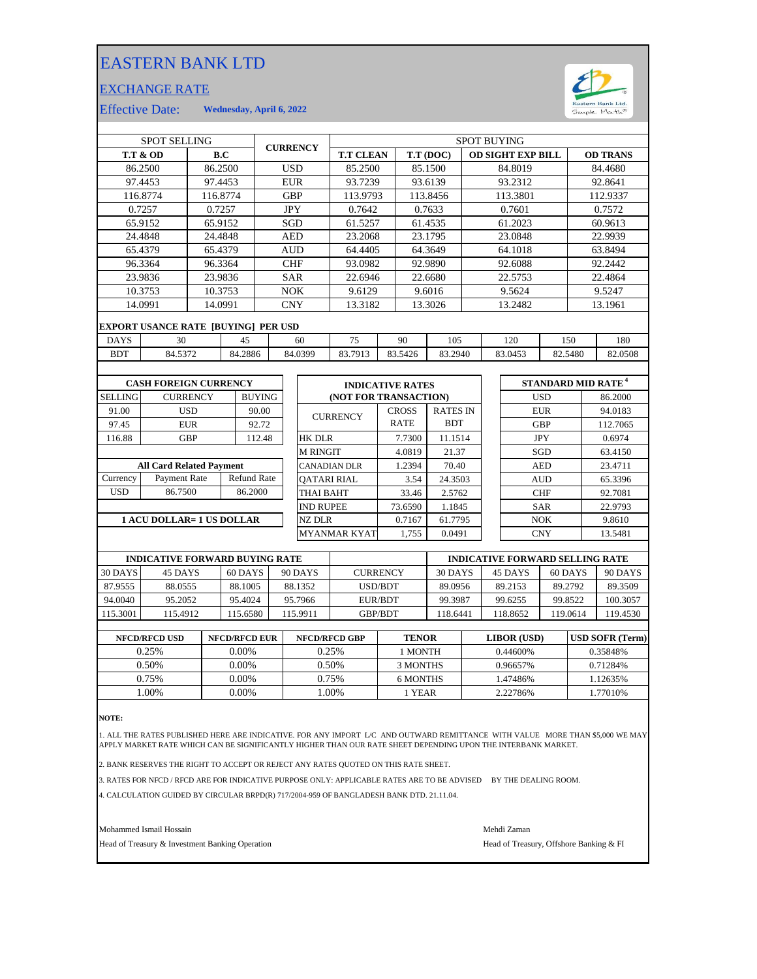## EASTERN BANK LTD

## EXCHANGE RATE



Effective Date: **Wednesday, April 6, 2022**

| <b>SPOT SELLING</b>             |                                            |                 |            |                    | <b>CURRENCY</b> |                               | <b>SPOT BUYING</b> |                         |                          |         |                 |                    |            |            |                                      |          |  |
|---------------------------------|--------------------------------------------|-----------------|------------|--------------------|-----------------|-------------------------------|--------------------|-------------------------|--------------------------|---------|-----------------|--------------------|------------|------------|--------------------------------------|----------|--|
|                                 | <b>T.T &amp; OD</b><br>B.C                 |                 |            |                    |                 | <b>T.T CLEAN</b><br>T.T (DOC) |                    |                         | <b>OD SIGHT EXP BILL</b> |         |                 | <b>OD TRANS</b>    |            |            |                                      |          |  |
|                                 | 86.2500<br>86.2500                         |                 |            |                    | <b>USD</b>      |                               | 85.2500            |                         |                          | 85.1500 | 84.8019         |                    |            | 84.4680    |                                      |          |  |
| 97.4453<br>97.4453              |                                            |                 | <b>EUR</b> |                    |                 | 93.7239                       |                    |                         | 93.6139                  |         | 93.2312         |                    | 92.8641    |            |                                      |          |  |
|                                 | 116.8774                                   | 116.8774        |            |                    |                 | <b>GBP</b>                    |                    | 113.9793                |                          |         | 113.8456        |                    | 113.3801   |            |                                      | 112.9337 |  |
|                                 | 0.7257                                     |                 | 0.7257     |                    |                 | <b>JPY</b>                    |                    | 0.7642                  |                          |         | 0.7633          |                    | 0.7601     |            |                                      | 0.7572   |  |
|                                 | 65.9152                                    | 65.9152         |            |                    |                 | SGD                           |                    | 61.5257                 |                          |         | 61.4535         |                    | 61.2023    |            |                                      | 60.9613  |  |
|                                 | 24.4848                                    | 24.4848         |            |                    |                 | <b>AED</b>                    |                    | 23.2068                 |                          |         | 23.1795         |                    | 23.0848    |            |                                      | 22.9939  |  |
|                                 | 65.4379                                    | 65.4379         |            |                    |                 | <b>AUD</b>                    |                    | 64.4405                 |                          |         | 64.3649         |                    | 64.1018    |            |                                      | 63.8494  |  |
|                                 | 96.3364                                    |                 | 96.3364    |                    | <b>CHF</b>      |                               |                    | 93.0982                 |                          | 92.9890 | 92.6088         |                    |            | 92.2442    |                                      |          |  |
|                                 | 23.9836<br>23.9836                         |                 |            |                    | <b>SAR</b>      |                               | 22.6946            |                         | 22.6680                  |         | 22.5753         |                    |            | 22.4864    |                                      |          |  |
|                                 | 10.3753                                    | 10.3753         |            |                    | <b>NOK</b>      |                               | 9.6129             |                         | 9.6016                   |         | 9.5624          |                    |            | 9.5247     |                                      |          |  |
| 14.0991<br>14.0991              |                                            |                 | <b>CNY</b> |                    | 13.3182         |                               | 13.3026            |                         | 13.2482                  |         |                 | 13.1961            |            |            |                                      |          |  |
|                                 | <b>EXPORT USANCE RATE [BUYING] PER USD</b> |                 |            |                    |                 |                               |                    |                         |                          |         |                 |                    |            |            |                                      |          |  |
| <b>DAYS</b>                     | 30<br>45                                   |                 |            |                    | 60              |                               |                    | 75                      | 90                       |         | 105             | 120                |            | 150        | 180                                  |          |  |
| <b>BDT</b>                      | 84.5372                                    |                 | 84.2886    | 84.0399            |                 |                               | 83.7913            | 83.5426                 |                          | 83.2940 |                 | 83.0453<br>82.5480 |            |            | 82.0508                              |          |  |
|                                 |                                            |                 |            |                    |                 |                               |                    |                         |                          |         |                 |                    |            |            |                                      |          |  |
|                                 | <b>CASH FOREIGN CURRENCY</b>               |                 |            |                    |                 |                               |                    | <b>INDICATIVE RATES</b> |                          |         |                 |                    |            |            | <b>STANDARD MID RATE<sup>4</sup></b> |          |  |
| <b>SELLING</b>                  |                                            | <b>CURRENCY</b> |            | <b>BUYING</b>      |                 |                               |                    | (NOT FOR TRANSACTION)   |                          |         |                 |                    |            | <b>USD</b> |                                      | 86.2000  |  |
| 91.00                           |                                            | <b>USD</b>      |            | 90.00              |                 |                               |                    |                         | <b>CROSS</b>             |         | <b>RATES IN</b> |                    |            | <b>EUR</b> |                                      | 94.0183  |  |
| 97.45                           |                                            | <b>EUR</b>      |            | 92.72              |                 |                               | <b>CURRENCY</b>    |                         | <b>RATE</b>              |         | <b>BDT</b>      |                    |            | <b>GBP</b> |                                      | 112.7065 |  |
| 116.88                          |                                            | <b>GBP</b>      |            | 112.48             |                 |                               | <b>HK DLR</b>      |                         | 7.7300                   |         | 11.1514         |                    | <b>JPY</b> |            | 0.6974                               |          |  |
|                                 |                                            |                 |            |                    |                 |                               | <b>M RINGIT</b>    |                         | 4.0819                   |         | 21.37           |                    |            | SGD        |                                      | 63.4150  |  |
| <b>All Card Related Payment</b> |                                            |                 |            |                    |                 | <b>CANADIAN DLR</b>           |                    | 1.2394                  |                          | 70.40   |                 | <b>AED</b>         |            | 23.4711    |                                      |          |  |
| Currency                        | Payment Rate                               |                 |            | <b>Refund Rate</b> |                 |                               | <b>OATARI RIAL</b> |                         |                          | 3.54    | 24.3503         |                    |            | <b>AUD</b> |                                      | 65.3396  |  |
| <b>USD</b>                      | 86.7500                                    |                 |            | 86.2000            |                 |                               | <b>THAI BAHT</b>   |                         |                          | 33.46   | 2.5762          |                    |            | <b>CHF</b> |                                      | 92.7081  |  |
|                                 |                                            |                 |            |                    |                 | <b>IND RUPEE</b>              |                    | 73.6590                 |                          | 1.1845  | <b>SAR</b>      |                    |            | 22.9793    |                                      |          |  |
| 1 ACU DOLLAR= 1 US DOLLAR       |                                            |                 |            |                    |                 | <b>NZ DLR</b>                 |                    | 0.7167                  |                          | 61.7795 |                 | <b>NOK</b>         |            | 9.8610     |                                      |          |  |
|                                 |                                            |                 |            |                    |                 | <b>MYANMAR KYAT</b>           |                    | 1,755                   | 0.0491                   |         |                 | <b>CNY</b>         |            | 13.5481    |                                      |          |  |

|          | <b>INDICATIVE FORWARD BUYING RATE</b> |         |          |                 | <b>INDICATIVE FORWARD SELLING RATE</b> |         |          |          |  |  |
|----------|---------------------------------------|---------|----------|-----------------|----------------------------------------|---------|----------|----------|--|--|
| 30 DAYS  | 45 DAYS                               | 60 DAYS | 90 DAYS  | <b>CURRENCY</b> | 30 DAYS                                | 45 DAYS | 60 DAYS  | 90 DAYS  |  |  |
| 87.9555  | 88.0555                               | 88.1005 | 88.1352  | USD/BDT         | 89.0956                                | 89.2153 | 89.2792  | 89.3509  |  |  |
| 94.0040  | 95.2052                               | 95.4024 | 95.7966  | EUR/BDT         | 99.3987                                | 99.6255 | 99.8522  | 100.3057 |  |  |
| 115.3001 | 115.4912                              | 15.6580 | 115.9911 | <b>GBP/BDT</b>  | 18.6441                                | 18.8652 | 119.0614 | 119.4530 |  |  |
|          |                                       |         |          |                 |                                        |         |          |          |  |  |

| <b>NFCD/RFCD USD</b> | <b>NFCD/RFCD EUR</b> | <b>NFCD/RFCD GBP</b> | <b>TENOR</b> | <b>LIBOR</b> (USD) | <b>USD SOFR (Term)</b> |
|----------------------|----------------------|----------------------|--------------|--------------------|------------------------|
| 0.25%                | $0.00\%$             | 0.25%                | 1 MONTH      | $0.44600\%$        | 0.35848%               |
| 0.50%                | $0.00\%$             | 0.50%                | 3 MONTHS     | 0.96657%           | 0.71284%               |
| 0.75%                | 0.00%                | 0.75%                | 6 MONTHS     | .47486%            | 1.12635%               |
| .00%                 | 0.00%                | .00%                 | 1 YEAR       | 2.22786%           | 1.77010%               |
|                      |                      |                      |              |                    |                        |

**NOTE:**

1. ALL THE RATES PUBLISHED HERE ARE INDICATIVE. FOR ANY IMPORT L/C AND OUTWARD REMITTANCE WITH VALUE MORE THAN \$5,000 WE MAY<br>APPLY MARKET RATE WHICH CAN BE SIGNIFICANTLY HIGHER THAN OUR RATE SHEET DEPENDING UPON THE IN

2. BANK RESERVES THE RIGHT TO ACCEPT OR REJECT ANY RATES QUOTED ON THIS RATE SHEET.

3. RATES FOR NFCD / RFCD ARE FOR INDICATIVE PURPOSE ONLY: APPLICABLE RATES ARE TO BE ADVISED BY THE DEALING ROOM.

4. CALCULATION GUIDED BY CIRCULAR BRPD(R) 717/2004-959 OF BANGLADESH BANK DTD. 21.11.04.

Mohammed Ismail Hossain Mehdi Zaman

Head of Treasury & Investment Banking Operation **Head of Treasury, Offshore Banking & FI**